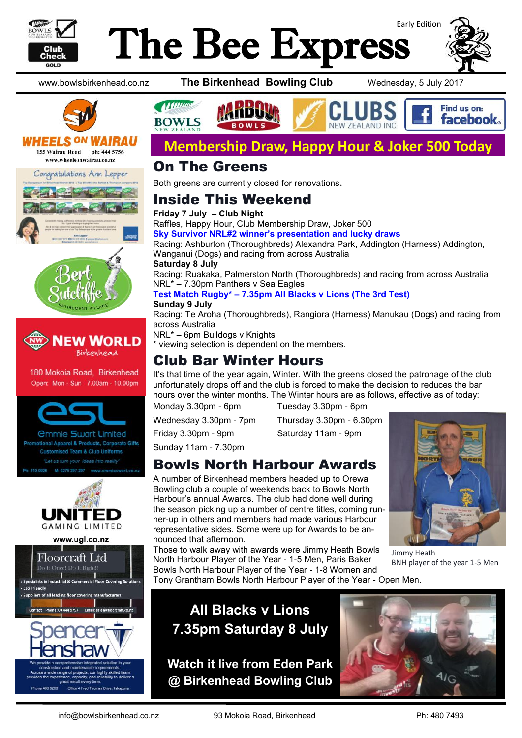

# Early Edition The Bee Express











180 Mokoia Road, Birkenhead Open: Mon - Sun 7.00am - 10.00pm



*<u>Ommie Swart Limited</u>* onal Apparel & Products, Corporate Gifts mised Team & Club Uniforms "Let us turn your ideas into reality







www.bowlsbirkenhead.co.nz **The Birkenhead Bowling Club** Wednesday, 5 July 2017





## **Membership Draw, Happy Hour & Joker 500 Today**

#### On The Greens

Both greens are currently closed for renovations.

### Inside This Weekend

**Friday 7 July – Club Night** Raffles, Happy Hour, Club Membership Draw, Joker 500 **Sky Survivor NRL#2 winner's presentation and lucky draws** Racing: Ashburton (Thoroughbreds) Alexandra Park, Addington (Harness) Addington, Wanganui (Dogs) and racing from across Australia **Saturday 8 July** Racing: Ruakaka, Palmerston North (Thoroughbreds) and racing from across Australia NRL\* – 7.30pm Panthers v Sea Eagles

#### **Test Match Rugby\* – 7.35pm All Blacks v Lions (The 3rd Test)**

**Sunday 9 July** Racing: Te Aroha (Thoroughbreds), Rangiora (Harness) Manukau (Dogs) and racing from across Australia

NRL\* – 6pm Bulldogs v Knights

\* viewing selection is dependent on the members.

### Club Bar Winter Hours

It's that time of the year again, Winter. With the greens closed the patronage of the club unfortunately drops off and the club is forced to make the decision to reduces the bar hours over the winter months. The Winter hours are as follows, effective as of today:

Monday 3.30pm - 6pm Tuesday 3.30pm - 6pm

Wednesday 3.30pm - 7pm Thursday 3.30pm - 6.30pm

Friday 3.30pm - 9pm Saturday 11am - 9pm

Sunday 11am - 7.30pm

## Bowls North Harbour Awards

A number of Birkenhead members headed up to Orewa Bowling club a couple of weekends back to Bowls North Harbour's annual Awards. The club had done well during the season picking up a number of centre titles, coming runner-up in others and members had made various Harbour representative sides. Some were up for Awards to be announced that afternoon.

Those to walk away with awards were Jimmy Heath Bowls North Harbour Player of the Year - 1-5 Men, Paris Baker Bowls North Harbour Player of the Year - 1-8 Women and Tony Grantham Bowls North Harbour Player of the Year - Open Men.

Jimmy Heath BNH player of the year 1-5 Men



**Watch it live from Eden Park @ Birkenhead Bowling Club**